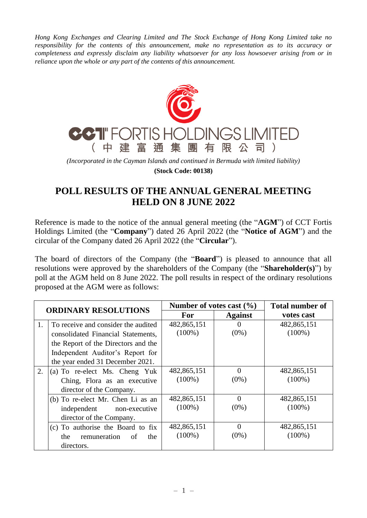*Hong Kong Exchanges and Clearing Limited and The Stock Exchange of Hong Kong Limited take no responsibility for the contents of this announcement, make no representation as to its accuracy or completeness and expressly disclaim any liability whatsoever for any loss howsoever arising from or in reliance upon the whole or any part of the contents of this announcement.*



*(Incorporated in the Cayman Islands and continued in Bermuda with limited liability)* **(Stock Code: 00138)**

## **POLL RESULTS OF THE ANNUAL GENERAL MEETING HELD ON 8 JUNE 2022**

Reference is made to the notice of the annual general meeting (the "**AGM**") of CCT Fortis Holdings Limited (the "**Company**") dated 26 April 2022 (the "**Notice of AGM**") and the circular of the Company dated 26 April 2022 (the "**Circular**").

The board of directors of the Company (the "**Board**") is pleased to announce that all resolutions were approved by the shareholders of the Company (the "**Shareholder(s)**") by poll at the AGM held on 8 June 2022. The poll results in respect of the ordinary resolutions proposed at the AGM were as follows:

| <b>ORDINARY RESOLUTIONS</b> |                                                                                                                                                                                          | Number of votes cast $(\% )$ |                     | <b>Total number of</b>   |
|-----------------------------|------------------------------------------------------------------------------------------------------------------------------------------------------------------------------------------|------------------------------|---------------------|--------------------------|
|                             |                                                                                                                                                                                          | <b>For</b>                   | <b>Against</b>      | votes cast               |
| 1.                          | To receive and consider the audited<br>consolidated Financial Statements,<br>the Report of the Directors and the<br>Independent Auditor's Report for<br>the year ended 31 December 2021. | 482,865,151<br>$(100\%)$     | $\Omega$<br>$(0\%)$ | 482,865,151<br>$(100\%)$ |
| 2.                          | (a) To re-elect Ms. Cheng Yuk<br>Ching, Flora as an executive<br>director of the Company.                                                                                                | 482,865,151<br>$(100\%)$     | $\Omega$<br>$(0\%)$ | 482,865,151<br>$(100\%)$ |
|                             | (b) To re-elect Mr. Chen Li as an<br>independent non-executive<br>director of the Company.                                                                                               | 482,865,151<br>$(100\%)$     | $\Omega$<br>$(0\%)$ | 482,865,151<br>$(100\%)$ |
|                             | (c) To authorise the Board to fix<br>the remuneration<br>the<br>of<br>directors.                                                                                                         | 482,865,151<br>$(100\%)$     | $\Omega$<br>$(0\%)$ | 482,865,151<br>$(100\%)$ |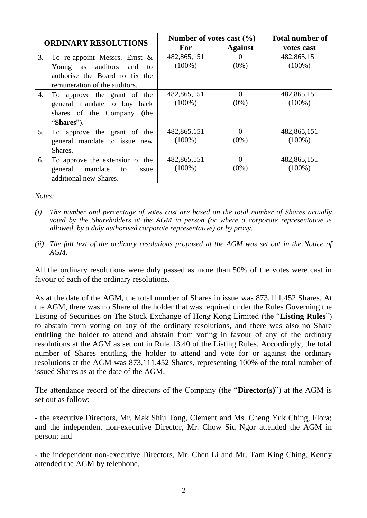| <b>ORDINARY RESOLUTIONS</b> |                                                                                                           | Number of votes cast $(\% )$ |                     | <b>Total number of</b>   |
|-----------------------------|-----------------------------------------------------------------------------------------------------------|------------------------------|---------------------|--------------------------|
|                             |                                                                                                           | <b>For</b>                   | <b>Against</b>      | votes cast               |
| 3.                          | To re-appoint Messrs. Ernst $\&$<br>Young as auditors<br>and<br>to                                        | 482,865,151<br>$(100\%)$     | $\Omega$<br>$(0\%)$ | 482,865,151<br>$(100\%)$ |
|                             | authorise the Board to fix the<br>remuneration of the auditors.                                           |                              |                     |                          |
| 4.                          | To approve the grant of the<br>general mandate to buy back<br>shares of the Company<br>(the<br>"Shares"). | 482,865,151<br>$(100\%)$     | $\Omega$<br>$(0\%)$ | 482,865,151<br>$(100\%)$ |
| 5.                          | To approve the grant of the<br>general mandate to issue new<br>Shares.                                    | 482,865,151<br>$(100\%)$     | $\Omega$<br>$(0\%)$ | 482,865,151<br>$(100\%)$ |
| 6.                          | To approve the extension of the<br>mandate<br>general<br>to<br>issue<br>additional new Shares.            | 482,865,151<br>$(100\%)$     | $\theta$<br>$(0\%)$ | 482,865,151<br>$(100\%)$ |

*Notes:*

- *(i) The number and percentage of votes cast are based on the total number of Shares actually voted by the Shareholders at the AGM in person (or where a corporate representative is allowed, by a duly authorised corporate representative) or by proxy.*
- *(ii) The full text of the ordinary resolutions proposed at the AGM was set out in the Notice of AGM.*

All the ordinary resolutions were duly passed as more than 50% of the votes were cast in favour of each of the ordinary resolutions.

As at the date of the AGM, the total number of Shares in issue was 873,111,452 Shares. At the AGM, there was no Share of the holder that was required under the Rules Governing the Listing of Securities on The Stock Exchange of Hong Kong Limited (the "**Listing Rules**") to abstain from voting on any of the ordinary resolutions, and there was also no Share entitling the holder to attend and abstain from voting in favour of any of the ordinary resolutions at the AGM as set out in Rule 13.40 of the Listing Rules. Accordingly, the total number of Shares entitling the holder to attend and vote for or against the ordinary resolutions at the AGM was 873,111,452 Shares, representing 100% of the total number of issued Shares as at the date of the AGM.

The attendance record of the directors of the Company (the "**Director(s)**") at the AGM is set out as follow:

- the executive Directors, Mr. Mak Shiu Tong, Clement and Ms. Cheng Yuk Ching, Flora; and the independent non-executive Director, Mr. Chow Siu Ngor attended the AGM in person; and

- the independent non-executive Directors, Mr. Chen Li and Mr. Tam King Ching, Kenny attended the AGM by telephone.